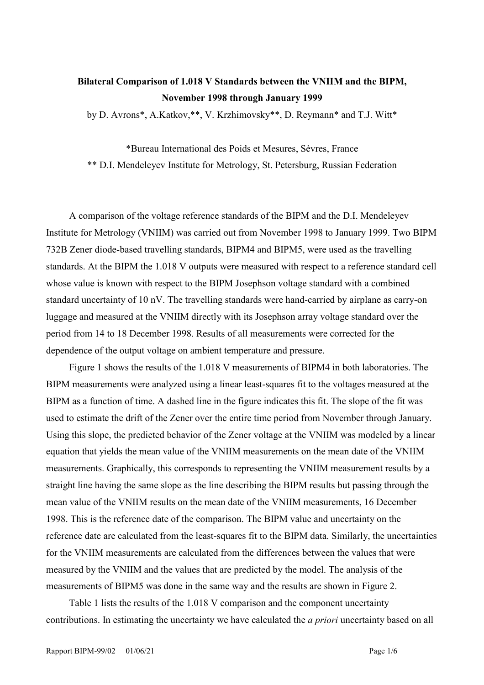## **Bilateral Comparison of 1.018 V Standards between the VNIIM and the BIPM, November 1998 through January 1999**

by D. Avrons\*, A.Katkov,\*\*, V. Krzhimovsky\*\*, D. Reymann\* and T.J. Witt\*

\*Bureau International des Poids et Mesures, Sèvres, France \*\* D.I. Mendeleyev Institute for Metrology, St. Petersburg, Russian Federation

A comparison of the voltage reference standards of the BIPM and the D.I. Mendeleyev Institute for Metrology (VNIIM) was carried out from November 1998 to January 1999. Two BIPM 732B Zener diode-based travelling standards, BIPM4 and BIPM5, were used as the travelling standards. At the BIPM the 1.018 V outputs were measured with respect to a reference standard cell whose value is known with respect to the BIPM Josephson voltage standard with a combined standard uncertainty of 10 nV. The travelling standards were hand-carried by airplane as carry-on luggage and measured at the VNIIM directly with its Josephson array voltage standard over the period from 14 to 18 December 1998. Results of all measurements were corrected for the dependence of the output voltage on ambient temperature and pressure.

Figure 1 shows the results of the 1.018 V measurements of BIPM4 in both laboratories. The BIPM measurements were analyzed using a linear least-squares fit to the voltages measured at the BIPM as a function of time. A dashed line in the figure indicates this fit. The slope of the fit was used to estimate the drift of the Zener over the entire time period from November through January. Using this slope, the predicted behavior of the Zener voltage at the VNIIM was modeled by a linear equation that yields the mean value of the VNIIM measurements on the mean date of the VNIIM measurements. Graphically, this corresponds to representing the VNIIM measurement results by a straight line having the same slope as the line describing the BIPM results but passing through the mean value of the VNIIM results on the mean date of the VNIIM measurements, 16 December 1998. This is the reference date of the comparison. The BIPM value and uncertainty on the reference date are calculated from the least-squares fit to the BIPM data. Similarly, the uncertainties for the VNIIM measurements are calculated from the differences between the values that were measured by the VNIIM and the values that are predicted by the model. The analysis of the measurements of BIPM5 was done in the same way and the results are shown in Figure 2.

Table 1 lists the results of the 1.018 V comparison and the component uncertainty contributions. In estimating the uncertainty we have calculated the *a priori* uncertainty based on all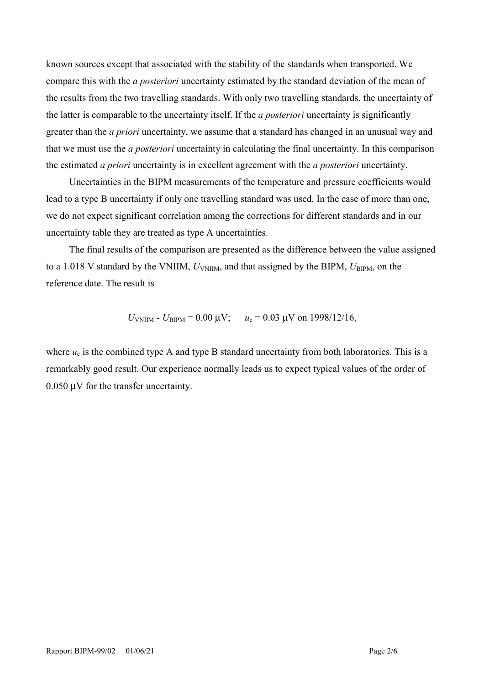known sources except that associated with the stability of the standards when transported. We compare this with the *a posteriori* uncertainty estimated by the standard deviation of the mean of the results from the two travelling standards. With only two travelling standards, the uncertainty of the latter is comparable to the uncertainty itself. If the *a posteriori* uncertainty is significantly greater than the *a priori* uncertainty, we assume that a standard has changed in an unusual way and that we must use the *a posteriori* uncertainty in calculating the final uncertainty. In this comparison the estimated *a priori* uncertainty is in excellent agreement with the *a posteriori* uncertainty.

Uncertainties in the BIPM measurements of the temperature and pressure coefficients would lead to a type B uncertainty if only one travelling standard was used. In the case of more than one, we do not expect significant correlation among the corrections for different standards and in our uncertainty table they are treated as type A uncertainties.

The final results of the comparison are presented as the difference between the value assigned to a 1.018 V standard by the VNIIM,  $U_{\text{VNIIM}}$ , and that assigned by the BIPM,  $U_{\text{BIPM}}$ , on the reference date. The result is

$$
U_{\text{VNIM}} - U_{\text{BIPM}} = 0.00 \text{ }\mu\text{V};
$$
  $u_c = 0.03 \text{ }\mu\text{V}$  on 1998/12/16,

where  $u_c$  is the combined type A and type B standard uncertainty from both laboratories. This is a remarkably good result. Our experience normally leads us to expect typical values of the order of 0.050 µV for the transfer uncertainty.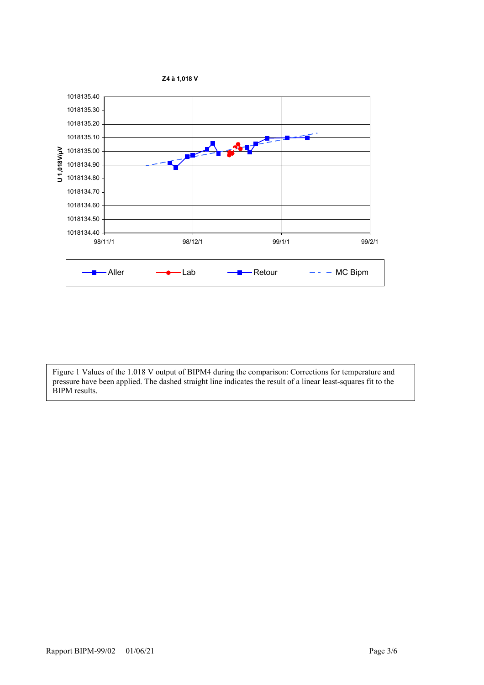

Figure 1 Values of the 1.018 V output of BIPM4 during the comparison: Corrections for temperature and pressure have been applied. The dashed straight line indicates the result of a linear least-squares fit to the BIPM results.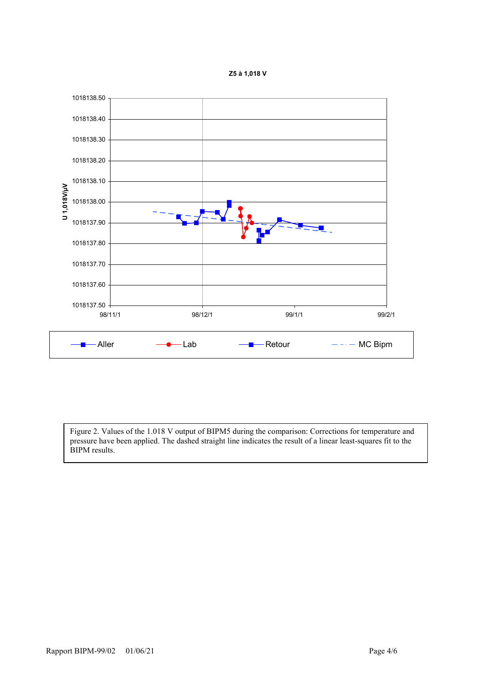



Figure 2. Values of the 1.018 V output of BIPM5 during the comparison: Corrections for temperature and pressure have been applied. The dashed straight line indicates the result of a linear least-squares fit to the BIPM results.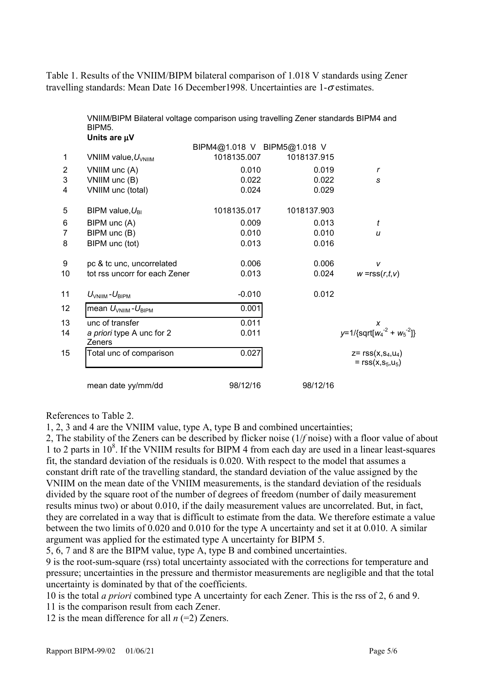Table 1. Results of the VNIIM/BIPM bilateral comparison of 1.018 V standards using Zener travelling standards: Mean Date 16 December 1998. Uncertainties are  $1-\sigma$  estimates.

|                | VNIIM/BIPM Bilateral voltage comparison using travelling Zener standards BIPM4 and<br>BIPM <sub>5</sub> . |                             |             |                                                |
|----------------|-----------------------------------------------------------------------------------------------------------|-----------------------------|-------------|------------------------------------------------|
|                | Units are µV                                                                                              |                             |             |                                                |
|                |                                                                                                           | BIPM4@1.018 V BIPM5@1.018 V |             |                                                |
| $\mathbf 1$    | VNIIM value, $U_{\text{VNIM}}$                                                                            | 1018135.007                 | 1018137.915 |                                                |
| $\overline{2}$ | VNIIM unc (A)                                                                                             | 0.010                       | 0.019       | r                                              |
| 3              | VNIIM unc (B)                                                                                             | 0.022                       | 0.022       | S                                              |
| 4              | VNIIM unc (total)                                                                                         | 0.024                       | 0.029       |                                                |
| 5              | BIPM value, $U_{\text{BI}}$                                                                               | 1018135.017                 | 1018137.903 |                                                |
| 6              | BIPM unc (A)                                                                                              | 0.009                       | 0.013       | t                                              |
| $\overline{7}$ | BIPM unc (B)                                                                                              | 0.010                       | 0.010       | $\boldsymbol{u}$                               |
| 8              | BIPM unc (tot)                                                                                            | 0.013                       | 0.016       |                                                |
| 9              | pc & tc unc, uncorrelated                                                                                 | 0.006                       | 0.006       | v                                              |
| 10             | tot rss uncorr for each Zener                                                                             | 0.013                       | 0.024       | $w = rss(r,t,v)$                               |
| 11             | $U_{\text{VNIIM}}$ - $U_{\text{BIPM}}$                                                                    | $-0.010$                    | 0.012       |                                                |
| 12             | mean $U_{\text{VNIIM}}$ - $U_{\text{BIPM}}$                                                               | 0.001                       |             |                                                |
| 13             | unc of transfer                                                                                           | 0.011                       |             | X                                              |
| 14             | a priori type A unc for 2<br>Zeners                                                                       | 0.011                       |             | $y=1/\sqrt{\sqrt{2}+{w_4}^2+{w_5}^2}$          |
| 15             | Total unc of comparison                                                                                   | 0.027                       |             | $Z = rSS(X, S_4, U_4)$<br>$= rss(x, s_5, u_5)$ |
|                | mean date yy/mm/dd                                                                                        | 98/12/16                    | 98/12/16    |                                                |

References to Table 2.

1, 2, 3 and 4 are the VNIIM value, type A, type B and combined uncertainties;

2, The stability of the Zeners can be described by flicker noise (1/*f* noise) with a floor value of about 1 to 2 parts in  $10^8$ . If the VNIIM results for BIPM 4 from each day are used in a linear least-squares fit, the standard deviation of the residuals is 0.020. With respect to the model that assumes a constant drift rate of the travelling standard, the standard deviation of the value assigned by the VNIIM on the mean date of the VNIIM measurements, is the standard deviation of the residuals divided by the square root of the number of degrees of freedom (number of daily measurement results minus two) or about 0.010, if the daily measurement values are uncorrelated. But, in fact, they are correlated in a way that is difficult to estimate from the data. We therefore estimate a value between the two limits of 0.020 and 0.010 for the type A uncertainty and set it at 0.010. A similar argument was applied for the estimated type A uncertainty for BIPM 5.

5, 6, 7 and 8 are the BIPM value, type A, type B and combined uncertainties.

9 is the root-sum-square (rss) total uncertainty associated with the corrections for temperature and pressure; uncertainties in the pressure and thermistor measurements are negligible and that the total uncertainty is dominated by that of the coefficients.

10 is the total *a priori* combined type A uncertainty for each Zener. This is the rss of 2, 6 and 9.

11 is the comparison result from each Zener.

12 is the mean difference for all *n* (=2) Zeners.